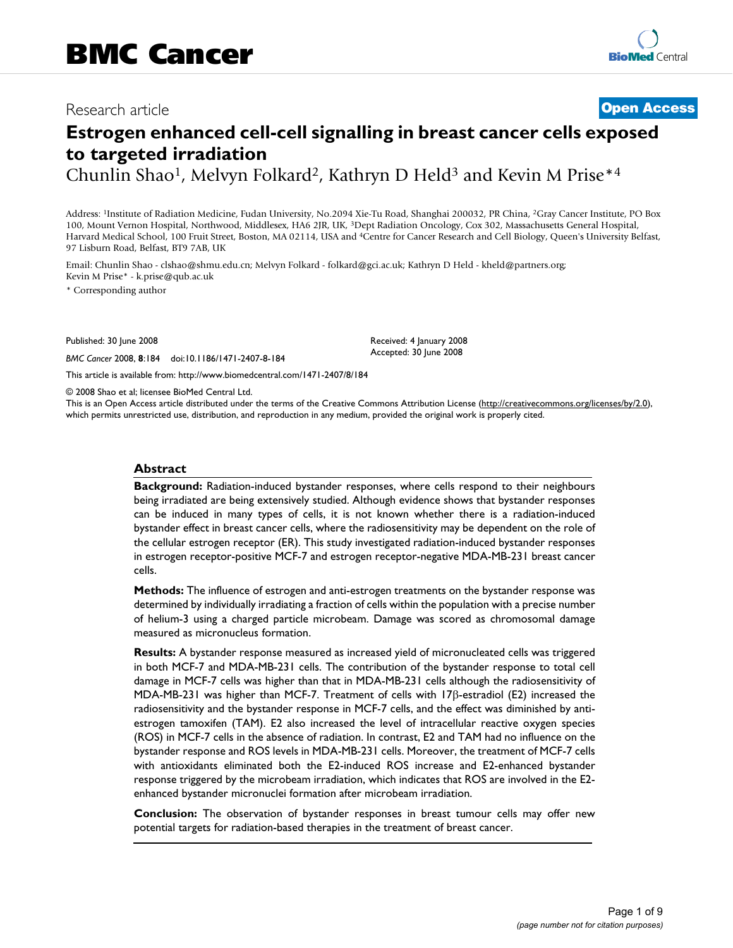## Research article **[Open Access](http://www.biomedcentral.com/info/about/charter/)**

# **Estrogen enhanced cell-cell signalling in breast cancer cells exposed to targeted irradiation**

Chunlin Shao<sup>1</sup>, Melvyn Folkard<sup>2</sup>, Kathryn D Held<sup>3</sup> and Kevin M Prise<sup>\*4</sup>

Address: 1Institute of Radiation Medicine, Fudan University, No.2094 Xie-Tu Road, Shanghai 200032, PR China, 2Gray Cancer Institute, PO Box 100, Mount Vernon Hospital, Northwood, Middlesex, HA6 2JR, UK, 3Dept Radiation Oncology, Cox 302, Massachusetts General Hospital, Harvard Medical School, 100 Fruit Street, Boston, MA 02114, USA and 4Centre for Cancer Research and Cell Biology, Queen's University Belfast, 97 Lisburn Road, Belfast, BT9 7AB, UK

Email: Chunlin Shao - clshao@shmu.edu.cn; Melvyn Folkard - folkard@gci.ac.uk; Kathryn D Held - kheld@partners.org; Kevin M Prise\* - k.prise@qub.ac.uk

\* Corresponding author

Published: 30 June 2008

*BMC Cancer* 2008, **8**:184 doi:10.1186/1471-2407-8-184

Received: 4 January 2008 Accepted: 30 June 2008

[This article is available from: http://www.biomedcentral.com/1471-2407/8/184](http://www.biomedcentral.com/1471-2407/8/184)

© 2008 Shao et al; licensee BioMed Central Ltd.

This is an Open Access article distributed under the terms of the Creative Commons Attribution License [\(http://creativecommons.org/licenses/by/2.0\)](http://creativecommons.org/licenses/by/2.0), which permits unrestricted use, distribution, and reproduction in any medium, provided the original work is properly cited.

#### **Abstract**

**Background:** Radiation-induced bystander responses, where cells respond to their neighbours being irradiated are being extensively studied. Although evidence shows that bystander responses can be induced in many types of cells, it is not known whether there is a radiation-induced bystander effect in breast cancer cells, where the radiosensitivity may be dependent on the role of the cellular estrogen receptor (ER). This study investigated radiation-induced bystander responses in estrogen receptor-positive MCF-7 and estrogen receptor-negative MDA-MB-231 breast cancer cells.

**Methods:** The influence of estrogen and anti-estrogen treatments on the bystander response was determined by individually irradiating a fraction of cells within the population with a precise number of helium-3 using a charged particle microbeam. Damage was scored as chromosomal damage measured as micronucleus formation.

**Results:** A bystander response measured as increased yield of micronucleated cells was triggered in both MCF-7 and MDA-MB-231 cells. The contribution of the bystander response to total cell damage in MCF-7 cells was higher than that in MDA-MB-231 cells although the radiosensitivity of MDA-MB-231 was higher than MCF-7. Treatment of cells with 17β-estradiol (E2) increased the radiosensitivity and the bystander response in MCF-7 cells, and the effect was diminished by antiestrogen tamoxifen (TAM). E2 also increased the level of intracellular reactive oxygen species (ROS) in MCF-7 cells in the absence of radiation. In contrast, E2 and TAM had no influence on the bystander response and ROS levels in MDA-MB-231 cells. Moreover, the treatment of MCF-7 cells with antioxidants eliminated both the E2-induced ROS increase and E2-enhanced bystander response triggered by the microbeam irradiation, which indicates that ROS are involved in the E2 enhanced bystander micronuclei formation after microbeam irradiation.

**Conclusion:** The observation of bystander responses in breast tumour cells may offer new potential targets for radiation-based therapies in the treatment of breast cancer.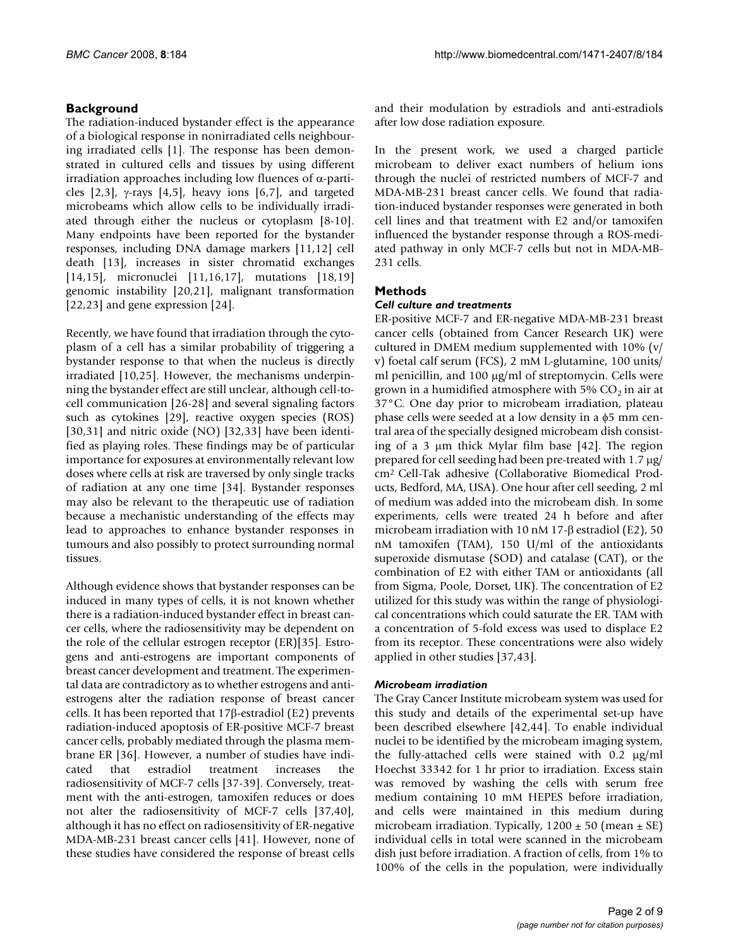### **Background**

The radiation-induced bystander effect is the appearance of a biological response in nonirradiated cells neighbouring irradiated cells [1]. The response has been demonstrated in cultured cells and tissues by using different irradiation approaches including low fluences of α-particles  $[2,3]$ ,  $\gamma$ -rays  $[4,5]$ , heavy ions  $[6,7]$ , and targeted microbeams which allow cells to be individually irradiated through either the nucleus or cytoplasm [8-10]. Many endpoints have been reported for the bystander responses, including DNA damage markers [11,12] cell death [13], increases in sister chromatid exchanges [14,15], micronuclei [11,16,17], mutations [18,19] genomic instability [20,21], malignant transformation [22,23] and gene expression [24].

Recently, we have found that irradiation through the cytoplasm of a cell has a similar probability of triggering a bystander response to that when the nucleus is directly irradiated [10,25]. However, the mechanisms underpinning the bystander effect are still unclear, although cell-tocell communication [26-28] and several signaling factors such as cytokines [29], reactive oxygen species (ROS) [30,31] and nitric oxide (NO) [32,33] have been identified as playing roles. These findings may be of particular importance for exposures at environmentally relevant low doses where cells at risk are traversed by only single tracks of radiation at any one time [34]. Bystander responses may also be relevant to the therapeutic use of radiation because a mechanistic understanding of the effects may lead to approaches to enhance bystander responses in tumours and also possibly to protect surrounding normal tissues.

Although evidence shows that bystander responses can be induced in many types of cells, it is not known whether there is a radiation-induced bystander effect in breast cancer cells, where the radiosensitivity may be dependent on the role of the cellular estrogen receptor (ER)[35]. Estrogens and anti-estrogens are important components of breast cancer development and treatment. The experimental data are contradictory as to whether estrogens and antiestrogens alter the radiation response of breast cancer cells. It has been reported that 17β-estradiol (E2) prevents radiation-induced apoptosis of ER-positive MCF-7 breast cancer cells, probably mediated through the plasma membrane ER [36]. However, a number of studies have indicated that estradiol treatment increases the radiosensitivity of MCF-7 cells [37-39]. Conversely, treatment with the anti-estrogen, tamoxifen reduces or does not alter the radiosensitivity of MCF-7 cells [37,40], although it has no effect on radiosensitivity of ER-negative MDA-MB-231 breast cancer cells [41]. However, none of these studies have considered the response of breast cells

and their modulation by estradiols and anti-estradiols after low dose radiation exposure.

In the present work, we used a charged particle microbeam to deliver exact numbers of helium ions through the nuclei of restricted numbers of MCF-7 and MDA-MB-231 breast cancer cells. We found that radiation-induced bystander responses were generated in both cell lines and that treatment with E2 and/or tamoxifen influenced the bystander response through a ROS-mediated pathway in only MCF-7 cells but not in MDA-MB-231 cells.

#### **Methods**

#### *Cell culture and treatments*

ER-positive MCF-7 and ER-negative MDA-MB-231 breast cancer cells (obtained from Cancer Research UK) were cultured in DMEM medium supplemented with 10% (v/ v) foetal calf serum (FCS), 2 mM L-glutamine, 100 units/ ml penicillin, and 100 μg/ml of streptomycin. Cells were grown in a humidified atmosphere with 5%  $CO<sub>2</sub>$  in air at 37°C. One day prior to microbeam irradiation, plateau phase cells were seeded at a low density in a φ5 mm central area of the specially designed microbeam dish consisting of a 3 μm thick Mylar film base [42]. The region prepared for cell seeding had been pre-treated with 1.7 μg/ cm2 Cell-Tak adhesive (Collaborative Biomedical Products, Bedford, MA, USA). One hour after cell seeding, 2 ml of medium was added into the microbeam dish. In some experiments, cells were treated 24 h before and after microbeam irradiation with 10 nM 17-β estradiol (E2), 50 nM tamoxifen (TAM), 150 U/ml of the antioxidants superoxide dismutase (SOD) and catalase (CAT), or the combination of E2 with either TAM or antioxidants (all from Sigma, Poole, Dorset, UK). The concentration of E2 utilized for this study was within the range of physiological concentrations which could saturate the ER. TAM with a concentration of 5-fold excess was used to displace E2 from its receptor. These concentrations were also widely applied in other studies [37,43].

#### *Microbeam irradiation*

The Gray Cancer Institute microbeam system was used for this study and details of the experimental set-up have been described elsewhere [42,44]. To enable individual nuclei to be identified by the microbeam imaging system, the fully-attached cells were stained with 0.2 μg/ml Hoechst 33342 for 1 hr prior to irradiation. Excess stain was removed by washing the cells with serum free medium containing 10 mM HEPES before irradiation, and cells were maintained in this medium during microbeam irradiation. Typically,  $1200 \pm 50$  (mean  $\pm$  SE) individual cells in total were scanned in the microbeam dish just before irradiation. A fraction of cells, from 1% to 100% of the cells in the population, were individually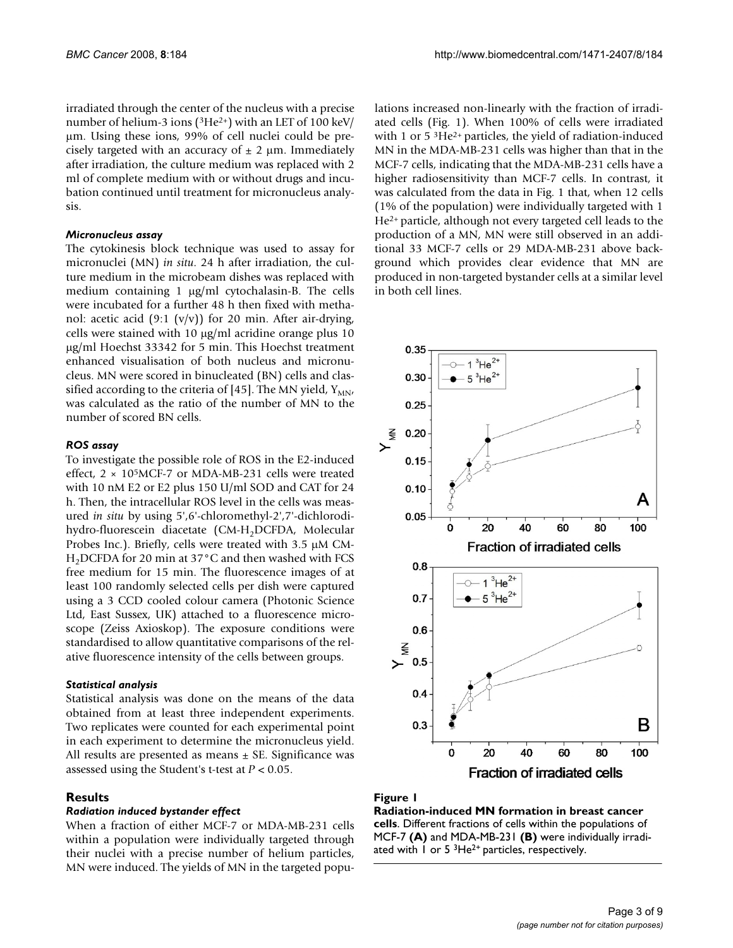irradiated through the center of the nucleus with a precise number of helium-3 ions (3He2+) with an LET of 100 keV/ μm. Using these ions, 99% of cell nuclei could be precisely targeted with an accuracy of  $\pm$  2 µm. Immediately after irradiation, the culture medium was replaced with 2 ml of complete medium with or without drugs and incubation continued until treatment for micronucleus analysis.

#### *Micronucleus assay*

The cytokinesis block technique was used to assay for micronuclei (MN) *in situ*. 24 h after irradiation, the culture medium in the microbeam dishes was replaced with medium containing 1 μg/ml cytochalasin-B. The cells were incubated for a further 48 h then fixed with methanol: acetic acid (9:1 (v/v)) for 20 min. After air-drying, cells were stained with 10 μg/ml acridine orange plus 10 μg/ml Hoechst 33342 for 5 min. This Hoechst treatment enhanced visualisation of both nucleus and micronucleus. MN were scored in binucleated (BN) cells and classified according to the criteria of [45]. The MN yield,  $Y_{MN}$ , was calculated as the ratio of the number of MN to the number of scored BN cells.

#### *ROS assay*

To investigate the possible role of ROS in the E2-induced effect, 2 × 105MCF-7 or MDA-MB-231 cells were treated with 10 nM E2 or E2 plus 150 U/ml SOD and CAT for 24 h. Then, the intracellular ROS level in the cells was measured *in situ* by using 5',6'-chloromethyl-2',7'-dichlorodihydro-fluorescein diacetate (CM-H<sub>2</sub>DCFDA, Molecular Probes Inc.). Briefly, cells were treated with 3.5 μM CM- $H<sub>2</sub>DCFDA$  for 20 min at 37 $^{\circ}$ C and then washed with FCS free medium for 15 min. The fluorescence images of at least 100 randomly selected cells per dish were captured using a 3 CCD cooled colour camera (Photonic Science Ltd, East Sussex, UK) attached to a fluorescence microscope (Zeiss Axioskop). The exposure conditions were standardised to allow quantitative comparisons of the relative fluorescence intensity of the cells between groups.

#### *Statistical analysis*

Statistical analysis was done on the means of the data obtained from at least three independent experiments. Two replicates were counted for each experimental point in each experiment to determine the micronucleus yield. All results are presented as means  $\pm$  SE. Significance was assessed using the Student's t-test at *P* < 0.05.

#### **Results**

#### *Radiation induced bystander effect*

When a fraction of either MCF-7 or MDA-MB-231 cells within a population were individually targeted through their nuclei with a precise number of helium particles, MN were induced. The yields of MN in the targeted populations increased non-linearly with the fraction of irradiated cells (Fig. 1). When 100% of cells were irradiated with 1 or 5<sup>3</sup>He<sup>2+</sup> particles, the yield of radiation-induced MN in the MDA-MB-231 cells was higher than that in the MCF-7 cells, indicating that the MDA-MB-231 cells have a higher radiosensitivity than MCF-7 cells. In contrast, it was calculated from the data in Fig. 1 that, when 12 cells (1% of the population) were individually targeted with 1 He2+ particle, although not every targeted cell leads to the production of a MN, MN were still observed in an additional 33 MCF-7 cells or 29 MDA-MB-231 above background which provides clear evidence that MN are produced in non-targeted bystander cells at a similar level in both cell lines.



#### Figure 1

**Radiation-induced MN formation in breast cancer cells**. Different fractions of cells within the populations of MCF-7 **(A)** and MDA-MB-231 **(B)** were individually irradiated with  $1$  or  $5$  <sup>3</sup>He<sup>2+</sup> particles, respectively.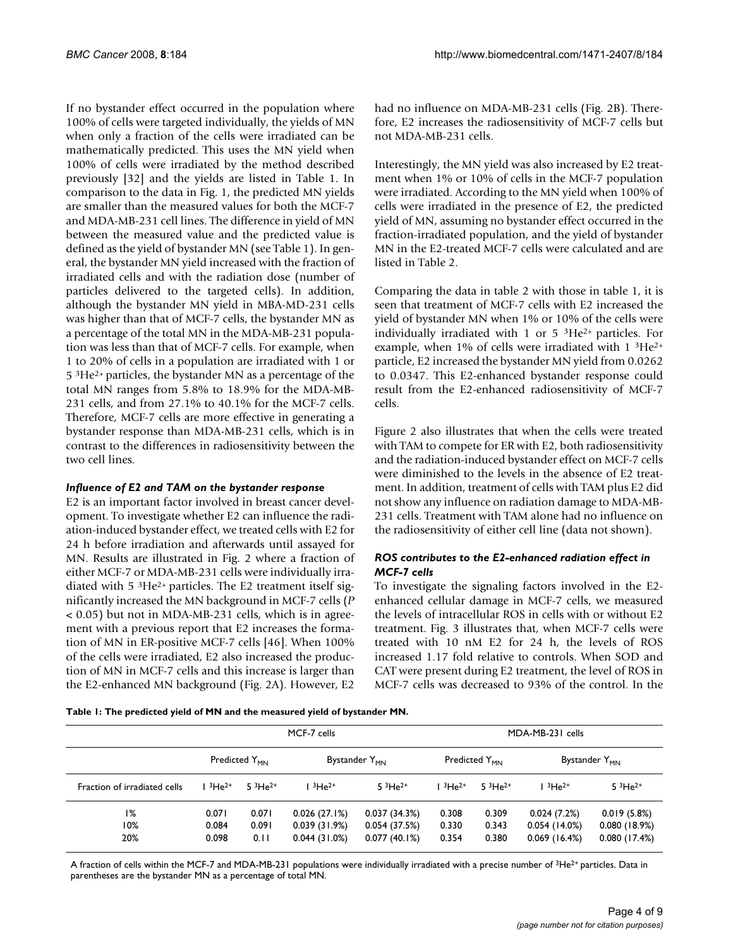If no bystander effect occurred in the population where 100% of cells were targeted individually, the yields of MN when only a fraction of the cells were irradiated can be mathematically predicted. This uses the MN yield when 100% of cells were irradiated by the method described previously [32] and the yields are listed in Table 1. In comparison to the data in Fig. 1, the predicted MN yields are smaller than the measured values for both the MCF-7 and MDA-MB-231 cell lines. The difference in yield of MN between the measured value and the predicted value is defined as the yield of bystander MN (see Table 1). In general, the bystander MN yield increased with the fraction of irradiated cells and with the radiation dose (number of particles delivered to the targeted cells). In addition, although the bystander MN yield in MBA-MD-231 cells was higher than that of MCF-7 cells, the bystander MN as a percentage of the total MN in the MDA-MB-231 population was less than that of MCF-7 cells. For example, when 1 to 20% of cells in a population are irradiated with 1 or 5 3He2+ particles, the bystander MN as a percentage of the total MN ranges from 5.8% to 18.9% for the MDA-MB-231 cells, and from 27.1% to 40.1% for the MCF-7 cells. Therefore, MCF-7 cells are more effective in generating a bystander response than MDA-MB-231 cells, which is in contrast to the differences in radiosensitivity between the two cell lines.

#### *Influence of E2 and TAM on the bystander response*

E2 is an important factor involved in breast cancer development. To investigate whether E2 can influence the radiation-induced bystander effect, we treated cells with E2 for 24 h before irradiation and afterwards until assayed for MN. Results are illustrated in Fig. 2 where a fraction of either MCF-7 or MDA-MB-231 cells were individually irradiated with  $5 \frac{3}{1}$  Particles. The E2 treatment itself significantly increased the MN background in MCF-7 cells (*P* < 0.05) but not in MDA-MB-231 cells, which is in agreement with a previous report that E2 increases the formation of MN in ER-positive MCF-7 cells [46]. When 100% of the cells were irradiated, E2 also increased the production of MN in MCF-7 cells and this increase is larger than the E2-enhanced MN background (Fig. 2A). However, E2

had no influence on MDA-MB-231 cells (Fig. 2B). Therefore, E2 increases the radiosensitivity of MCF-7 cells but not MDA-MB-231 cells.

Interestingly, the MN yield was also increased by E2 treatment when 1% or 10% of cells in the MCF-7 population were irradiated. According to the MN yield when 100% of cells were irradiated in the presence of E2, the predicted yield of MN, assuming no bystander effect occurred in the fraction-irradiated population, and the yield of bystander MN in the E2-treated MCF-7 cells were calculated and are listed in Table 2.

Comparing the data in table 2 with those in table 1, it is seen that treatment of MCF-7 cells with E2 increased the yield of bystander MN when 1% or 10% of the cells were individually irradiated with 1 or  $5 \frac{3}{1}$ He<sup>2+</sup> particles. For example, when 1% of cells were irradiated with 1 3He2+ particle, E2 increased the bystander MN yield from 0.0262 to 0.0347. This E2-enhanced bystander response could result from the E2-enhanced radiosensitivity of MCF-7 cells.

Figure 2 also illustrates that when the cells were treated with TAM to compete for ER with E2, both radiosensitivity and the radiation-induced bystander effect on MCF-7 cells were diminished to the levels in the absence of E2 treatment. In addition, treatment of cells with TAM plus E2 did not show any influence on radiation damage to MDA-MB-231 cells. Treatment with TAM alone had no influence on the radiosensitivity of either cell line (data not shown).

#### *ROS contributes to the E2-enhanced radiation effect in MCF-7 cells*

To investigate the signaling factors involved in the E2 enhanced cellular damage in MCF-7 cells, we measured the levels of intracellular ROS in cells with or without E2 treatment. Fig. 3 illustrates that, when MCF-7 cells were treated with 10 nM E2 for 24 h, the levels of ROS increased 1.17 fold relative to controls. When SOD and CAT were present during E2 treatment, the level of ROS in MCF-7 cells was decreased to 93% of the control. In the

**Table 1: The predicted yield of MN and the measured yield of bystander MN.**

|                              | MCF-7 cells             |                           |                                              |                                              | MDA-MB-231 cells          |                         |                                             |                                             |
|------------------------------|-------------------------|---------------------------|----------------------------------------------|----------------------------------------------|---------------------------|-------------------------|---------------------------------------------|---------------------------------------------|
|                              |                         | Predicted Y <sub>MN</sub> |                                              | Bystander Y <sub>MN</sub>                    | Predicted Y <sub>MN</sub> |                         |                                             | Bystander Y <sub>MN</sub>                   |
| Fraction of irradiated cells | $3He^{2+}$              | $53He^{2+}$               | $13He^{2+}$                                  | $53He^{2+}$                                  | $3He^{2+}$                | $53He^{2+}$             | $13He^{2+}$                                 | $53He^{2+}$                                 |
| 1%<br>10%<br>20%             | 0.071<br>0.084<br>0.098 | 0.071<br>0.091<br>0.11    | 0.026(27.1%)<br>0.039(31.9%)<br>0.044(31.0%) | 0.037(34.3%)<br>0.054(37.5%)<br>0.077(40.1%) | 0.308<br>0.330<br>0.354   | 0.309<br>0.343<br>0.380 | 0.024(7.2%)<br>0.054(14.0%)<br>0.069(16.4%) | 0.019(5.8%)<br>0.080(18.9%)<br>0.080(17.4%) |

A fraction of cells within the MCF-7 and MDA-MB-231 populations were individually irradiated with a precise number of 3He2+ particles. Data in parentheses are the bystander MN as a percentage of total MN.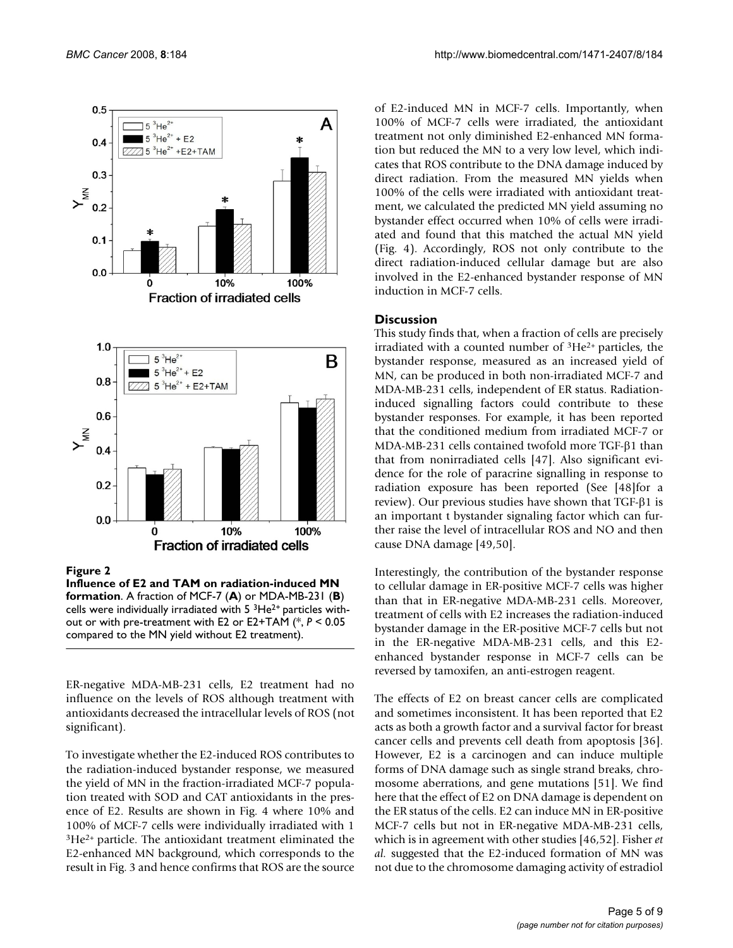

cells were individually irradiated with  $5<sup>3</sup>He<sup>2+</sup>$  particles without or with pre-treatment with E2 or E2+TAM (\*, *P* < 0.05 compared to the MN yield without E2 treatment).

ER-negative MDA-MB-231 cells, E2 treatment had no influence on the levels of ROS although treatment with antioxidants decreased the intracellular levels of ROS (not significant).

To investigate whether the E2-induced ROS contributes to the radiation-induced bystander response, we measured the yield of MN in the fraction-irradiated MCF-7 population treated with SOD and CAT antioxidants in the presence of E2. Results are shown in Fig. 4 where 10% and 100% of MCF-7 cells were individually irradiated with 1 3He2+ particle. The antioxidant treatment eliminated the E2-enhanced MN background, which corresponds to the result in Fig. 3 and hence confirms that ROS are the source of E2-induced MN in MCF-7 cells. Importantly, when 100% of MCF-7 cells were irradiated, the antioxidant treatment not only diminished E2-enhanced MN formation but reduced the MN to a very low level, which indicates that ROS contribute to the DNA damage induced by direct radiation. From the measured MN yields when 100% of the cells were irradiated with antioxidant treatment, we calculated the predicted MN yield assuming no bystander effect occurred when 10% of cells were irradiated and found that this matched the actual MN yield (Fig. 4). Accordingly, ROS not only contribute to the direct radiation-induced cellular damage but are also involved in the E2-enhanced bystander response of MN induction in MCF-7 cells.

### **Discussion**

This study finds that, when a fraction of cells are precisely irradiated with a counted number of 3He2+ particles, the bystander response, measured as an increased yield of MN, can be produced in both non-irradiated MCF-7 and MDA-MB-231 cells, independent of ER status. Radiationinduced signalling factors could contribute to these bystander responses. For example, it has been reported that the conditioned medium from irradiated MCF-7 or MDA-MB-231 cells contained twofold more TGF-β1 than that from nonirradiated cells [47]. Also significant evidence for the role of paracrine signalling in response to radiation exposure has been reported (See [48]for a review). Our previous studies have shown that TGF-β1 is an important t bystander signaling factor which can further raise the level of intracellular ROS and NO and then cause DNA damage [49,50].

Interestingly, the contribution of the bystander response to cellular damage in ER-positive MCF-7 cells was higher than that in ER-negative MDA-MB-231 cells. Moreover, treatment of cells with E2 increases the radiation-induced bystander damage in the ER-positive MCF-7 cells but not in the ER-negative MDA-MB-231 cells, and this E2 enhanced bystander response in MCF-7 cells can be reversed by tamoxifen, an anti-estrogen reagent.

The effects of E2 on breast cancer cells are complicated and sometimes inconsistent. It has been reported that E2 acts as both a growth factor and a survival factor for breast cancer cells and prevents cell death from apoptosis [36]. However, E2 is a carcinogen and can induce multiple forms of DNA damage such as single strand breaks, chromosome aberrations, and gene mutations [51]. We find here that the effect of E2 on DNA damage is dependent on the ER status of the cells. E2 can induce MN in ER-positive MCF-7 cells but not in ER-negative MDA-MB-231 cells, which is in agreement with other studies [46,52]. Fisher *et al.* suggested that the E2-induced formation of MN was not due to the chromosome damaging activity of estradiol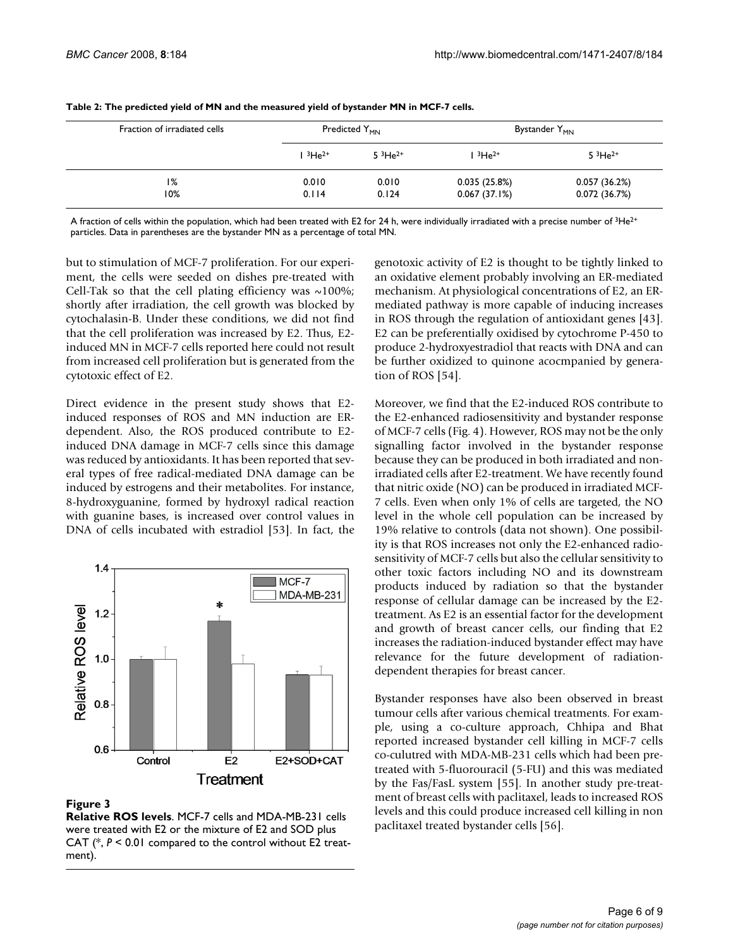| Fraction of irradiated cells |             | Predicted Y <sub>MN</sub> |              | Bystander Y <sub>MN</sub> |
|------------------------------|-------------|---------------------------|--------------|---------------------------|
|                              | $13He^{2+}$ | $53He^{2+}$               | $13He^{2+}$  | $53He^{2+}$               |
| 1%                           | 0.010       | 0.010                     | 0.035(25.8%) | 0.057(36.2%)              |
| 10%                          | 0.114       | 0.124                     | 0.067(37.1%) | 0.072(36.7%)              |

A fraction of cells within the population, which had been treated with E2 for 24 h, were individually irradiated with a precise number of  ${}^{3}$ He<sup>2+</sup> particles. Data in parentheses are the bystander MN as a percentage of total MN.

but to stimulation of MCF-7 proliferation. For our experiment, the cells were seeded on dishes pre-treated with Cell-Tak so that the cell plating efficiency was  $\sim$ 100%; shortly after irradiation, the cell growth was blocked by cytochalasin-B. Under these conditions, we did not find that the cell proliferation was increased by E2. Thus, E2 induced MN in MCF-7 cells reported here could not result from increased cell proliferation but is generated from the cytotoxic effect of E2.

Direct evidence in the present study shows that E2 induced responses of ROS and MN induction are ERdependent. Also, the ROS produced contribute to E2 induced DNA damage in MCF-7 cells since this damage was reduced by antioxidants. It has been reported that several types of free radical-mediated DNA damage can be induced by estrogens and their metabolites. For instance, 8-hydroxyguanine, formed by hydroxyl radical reaction with guanine bases, is increased over control values in DNA of cells incubated with estradiol [53]. In fact, the



#### **Figure 3**

**Relative ROS levels**. MCF-7 cells and MDA-MB-231 cells were treated with E2 or the mixture of E2 and SOD plus CAT (\*, *P* < 0.01 compared to the control without E2 treatment).

genotoxic activity of E2 is thought to be tightly linked to an oxidative element probably involving an ER-mediated mechanism. At physiological concentrations of E2, an ERmediated pathway is more capable of inducing increases in ROS through the regulation of antioxidant genes [43]. E2 can be preferentially oxidised by cytochrome P-450 to produce 2-hydroxyestradiol that reacts with DNA and can be further oxidized to quinone acocmpanied by generation of ROS [54].

Moreover, we find that the E2-induced ROS contribute to the E2-enhanced radiosensitivity and bystander response of MCF-7 cells (Fig. 4). However, ROS may not be the only signalling factor involved in the bystander response because they can be produced in both irradiated and nonirradiated cells after E2-treatment. We have recently found that nitric oxide (NO) can be produced in irradiated MCF-7 cells. Even when only 1% of cells are targeted, the NO level in the whole cell population can be increased by 19% relative to controls (data not shown). One possibility is that ROS increases not only the E2-enhanced radiosensitivity of MCF-7 cells but also the cellular sensitivity to other toxic factors including NO and its downstream products induced by radiation so that the bystander response of cellular damage can be increased by the E2 treatment. As E2 is an essential factor for the development and growth of breast cancer cells, our finding that E2 increases the radiation-induced bystander effect may have relevance for the future development of radiationdependent therapies for breast cancer.

Bystander responses have also been observed in breast tumour cells after various chemical treatments. For example, using a co-culture approach, Chhipa and Bhat reported increased bystander cell killing in MCF-7 cells co-culutred with MDA-MB-231 cells which had been pretreated with 5-fluorouracil (5-FU) and this was mediated by the Fas/FasL system [55]. In another study pre-treatment of breast cells with paclitaxel, leads to increased ROS levels and this could produce increased cell killing in non paclitaxel treated bystander cells [56].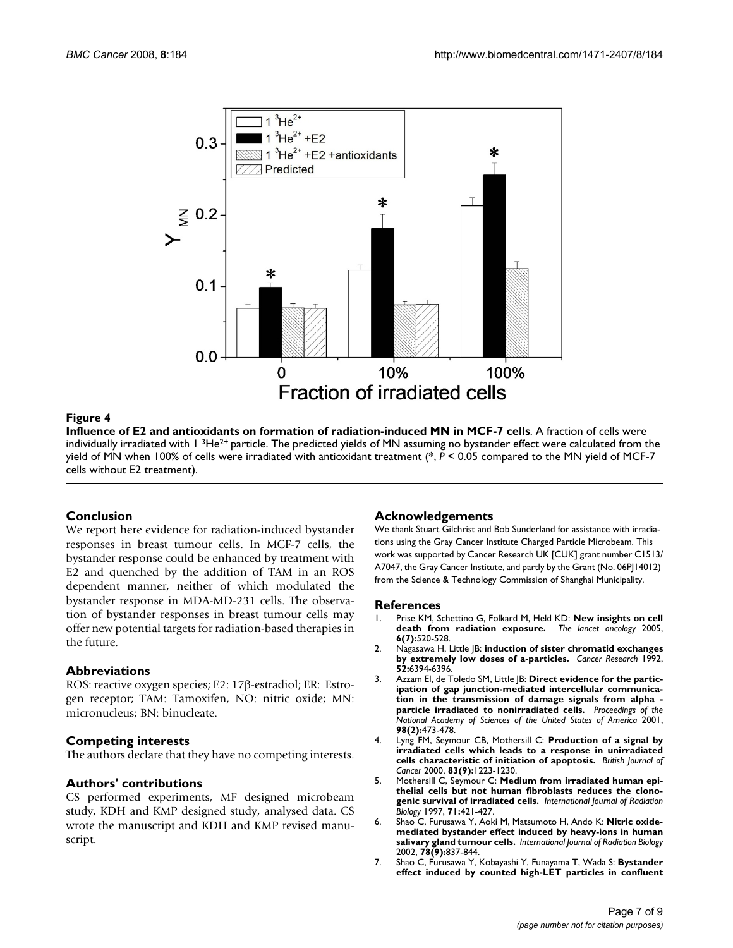

**Influence of E2 and antioxidants on formation of radiation-induced MN in MCF-7 cells**. A fraction of cells were individually irradiated with  $1 \frac{3}{1}$ He<sup>2+</sup> particle. The predicted yields of MN assuming no bystander effect were calculated from the yield of MN when 100% of cells were irradiated with antioxidant treatment (\*, *P* < 0.05 compared to the MN yield of MCF-7 cells without E2 treatment).

#### **Conclusion**

We report here evidence for radiation-induced bystander responses in breast tumour cells. In MCF-7 cells, the bystander response could be enhanced by treatment with E2 and quenched by the addition of TAM in an ROS dependent manner, neither of which modulated the bystander response in MDA-MD-231 cells. The observation of bystander responses in breast tumour cells may offer new potential targets for radiation-based therapies in the future.

#### **Abbreviations**

ROS: reactive oxygen species; E2: 17β-estradiol; ER: Estrogen receptor; TAM: Tamoxifen, NO: nitric oxide; MN: micronucleus; BN: binucleate.

#### **Competing interests**

The authors declare that they have no competing interests.

#### **Authors' contributions**

CS performed experiments, MF designed microbeam study, KDH and KMP designed study, analysed data. CS wrote the manuscript and KDH and KMP revised manuscript.

#### **Acknowledgements**

We thank Stuart Gilchrist and Bob Sunderland for assistance with irradiations using the Gray Cancer Institute Charged Particle Microbeam. This work was supported by Cancer Research UK [CUK] grant number C1513/ A7047, the Gray Cancer Institute, and partly by the Grant (No. 06PJ 14012) from the Science & Technology Commission of Shanghai Municipality.

#### **References**

- 1. Prise KM, Schettino G, Folkard M, Held KD: **[New insights on cell](http://www.ncbi.nlm.nih.gov/entrez/query.fcgi?cmd=Retrieve&db=PubMed&dopt=Abstract&list_uids=15992701) [death from radiation exposure.](http://www.ncbi.nlm.nih.gov/entrez/query.fcgi?cmd=Retrieve&db=PubMed&dopt=Abstract&list_uids=15992701)** *The lancet oncology* 2005, **6(7):**520-528.
- 2. Nagasawa H, Little JB: **[induction of sister chromatid exchanges](http://www.ncbi.nlm.nih.gov/entrez/query.fcgi?cmd=Retrieve&db=PubMed&dopt=Abstract&list_uids=1423287) [by extremely low doses of a-particles.](http://www.ncbi.nlm.nih.gov/entrez/query.fcgi?cmd=Retrieve&db=PubMed&dopt=Abstract&list_uids=1423287)** *Cancer Research* 1992, **52:**6394-6396.
- 3. Azzam El, de Toledo SM, Little |B: [Direct evidence for the partic](http://www.ncbi.nlm.nih.gov/entrez/query.fcgi?cmd=Retrieve&db=PubMed&dopt=Abstract&list_uids=11149936)**ipation of gap junction-mediated intercellular communica[tion in the transmission of damage signals from alpha](http://www.ncbi.nlm.nih.gov/entrez/query.fcgi?cmd=Retrieve&db=PubMed&dopt=Abstract&list_uids=11149936)  [particle irradiated to nonirradiated cells.](http://www.ncbi.nlm.nih.gov/entrez/query.fcgi?cmd=Retrieve&db=PubMed&dopt=Abstract&list_uids=11149936)** *Proceedings of the National Academy of Sciences of the United States of America* 2001, **98(2):**473-478.
- 4. Lyng FM, Seymour CB, Mothersill C: **[Production of a signal by](http://www.ncbi.nlm.nih.gov/entrez/query.fcgi?cmd=Retrieve&db=PubMed&dopt=Abstract&list_uids=11027437) [irradiated cells which leads to a response in unirradiated](http://www.ncbi.nlm.nih.gov/entrez/query.fcgi?cmd=Retrieve&db=PubMed&dopt=Abstract&list_uids=11027437) [cells characteristic of initiation of apoptosis.](http://www.ncbi.nlm.nih.gov/entrez/query.fcgi?cmd=Retrieve&db=PubMed&dopt=Abstract&list_uids=11027437)** *British Journal of Cancer* 2000, **83(9):**1223-1230.
- 5. Mothersill C, Seymour C: **[Medium from irradiated human epi](http://www.ncbi.nlm.nih.gov/entrez/query.fcgi?cmd=Retrieve&db=PubMed&dopt=Abstract&list_uids=9154145)[thelial cells but not human fibroblasts reduces the clono](http://www.ncbi.nlm.nih.gov/entrez/query.fcgi?cmd=Retrieve&db=PubMed&dopt=Abstract&list_uids=9154145)[genic survival of irradiated cells.](http://www.ncbi.nlm.nih.gov/entrez/query.fcgi?cmd=Retrieve&db=PubMed&dopt=Abstract&list_uids=9154145)** *International Journal of Radiation Biology* 1997, **71:**421-427.
- 6. Shao C, Furusawa Y, Aoki M, Matsumoto H, Ando K: **[Nitric oxide](http://www.ncbi.nlm.nih.gov/entrez/query.fcgi?cmd=Retrieve&db=PubMed&dopt=Abstract&list_uids=12428924)[mediated bystander effect induced by heavy-ions in human](http://www.ncbi.nlm.nih.gov/entrez/query.fcgi?cmd=Retrieve&db=PubMed&dopt=Abstract&list_uids=12428924) [salivary gland tumour cells.](http://www.ncbi.nlm.nih.gov/entrez/query.fcgi?cmd=Retrieve&db=PubMed&dopt=Abstract&list_uids=12428924)** *International Journal of Radiation Biology* 2002, **78(9):**837-844.
- 7. Shao C, Furusawa Y, Kobayashi Y, Funayama T, Wada S: **[Bystander](http://www.ncbi.nlm.nih.gov/entrez/query.fcgi?cmd=Retrieve&db=PubMed&dopt=Abstract&list_uids=12890695) [effect induced by counted high-LET particles in confluent](http://www.ncbi.nlm.nih.gov/entrez/query.fcgi?cmd=Retrieve&db=PubMed&dopt=Abstract&list_uids=12890695)**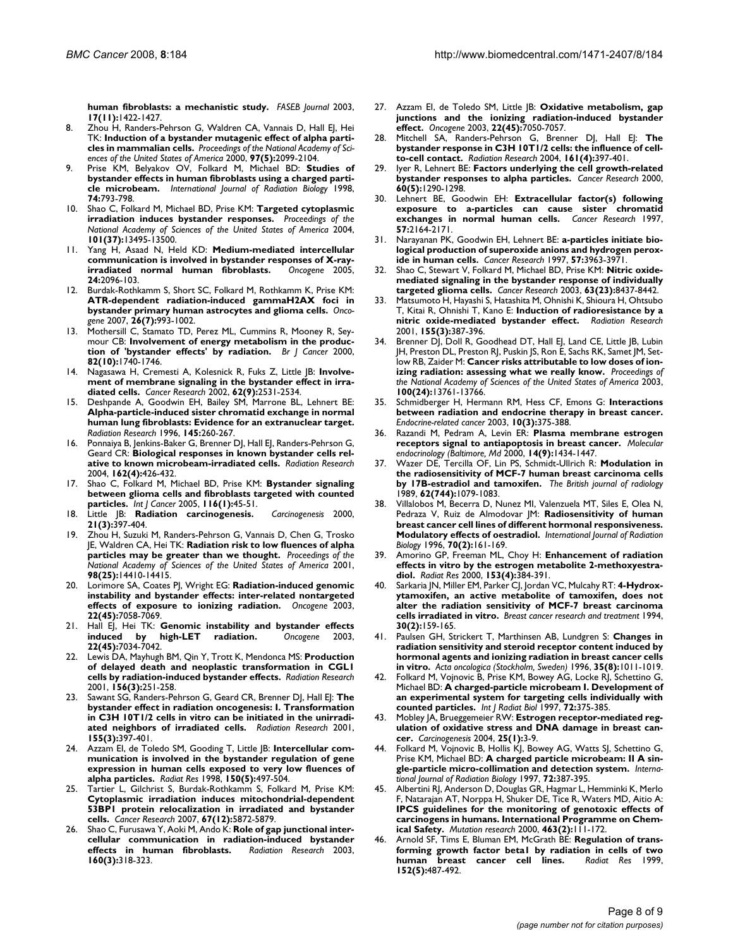**[human fibroblasts: a mechanistic study.](http://www.ncbi.nlm.nih.gov/entrez/query.fcgi?cmd=Retrieve&db=PubMed&dopt=Abstract&list_uids=12890695)** *FASEB Journal* 2003, **17(11):**1422-1427.

- 8. Zhou H, Randers-Pehrson G, Waldren CA, Vannais D, Hall EJ, Hei TK: **[Induction of a bystander mutagenic effect of alpha parti](http://www.ncbi.nlm.nih.gov/entrez/query.fcgi?cmd=Retrieve&db=PubMed&dopt=Abstract&list_uids=10681418)[cles in mammalian cells.](http://www.ncbi.nlm.nih.gov/entrez/query.fcgi?cmd=Retrieve&db=PubMed&dopt=Abstract&list_uids=10681418)** *Proceedings of the National Academy of Sciences of the United States of America* 2000, **97(5):**2099-2104.
- 9. Prise KM, Belyakov OV, Folkard M, Michael BD: **[Studies of](http://www.ncbi.nlm.nih.gov/entrez/query.fcgi?cmd=Retrieve&db=PubMed&dopt=Abstract&list_uids=9881726) [bystander effects in human fibroblasts using a charged parti](http://www.ncbi.nlm.nih.gov/entrez/query.fcgi?cmd=Retrieve&db=PubMed&dopt=Abstract&list_uids=9881726)[cle microbeam.](http://www.ncbi.nlm.nih.gov/entrez/query.fcgi?cmd=Retrieve&db=PubMed&dopt=Abstract&list_uids=9881726)** *International Journal of Radiation Biology* 1998, **74:**793-798.
- 10. Shao C, Folkard M, Michael BD, Prise KM: **[Targeted cytoplasmic](http://www.ncbi.nlm.nih.gov/entrez/query.fcgi?cmd=Retrieve&db=PubMed&dopt=Abstract&list_uids=15345742) [irradiation induces bystander responses.](http://www.ncbi.nlm.nih.gov/entrez/query.fcgi?cmd=Retrieve&db=PubMed&dopt=Abstract&list_uids=15345742)** *Proceedings of the National Academy of Sciences of the United States of America* 2004, **101(37):**13495-13500.
- 11. Yang H, Asaad N, Held KD: **[Medium-mediated intercellular](http://www.ncbi.nlm.nih.gov/entrez/query.fcgi?cmd=Retrieve&db=PubMed&dopt=Abstract&list_uids=15688009) communication is involved in bystander responses of X-ray-<br>
<b>irradiated normal human fibroblasts.** Oncogene 2005. *irradiated* normal human fibroblasts. **24:**2096-103.
- 12. Burdak-Rothkamm S, Short SC, Folkard M, Rothkamm K, Prise KM: **[ATR-dependent radiation-induced gammaH2AX foci in](http://www.ncbi.nlm.nih.gov/entrez/query.fcgi?cmd=Retrieve&db=PubMed&dopt=Abstract&list_uids=16909103) [bystander primary human astrocytes and glioma cells.](http://www.ncbi.nlm.nih.gov/entrez/query.fcgi?cmd=Retrieve&db=PubMed&dopt=Abstract&list_uids=16909103)** *Oncogene* 2007, **26(7):**993-1002.
- 13. Mothersill C, Stamato TD, Perez ML, Cummins R, Mooney R, Seymour CB: **[Involvement of energy metabolism in the produc](http://www.ncbi.nlm.nih.gov/entrez/query.fcgi?cmd=Retrieve&db=PubMed&dopt=Abstract&list_uids=10817512)[tion of 'bystander effects' by radiation.](http://www.ncbi.nlm.nih.gov/entrez/query.fcgi?cmd=Retrieve&db=PubMed&dopt=Abstract&list_uids=10817512)** *Br J Cancer* 2000, **82(10):**1740-1746.
- 14. Nagasawa H, Cremesti A, Kolesnick R, Fuks Z, Little JB: **[Involve](http://www.ncbi.nlm.nih.gov/entrez/query.fcgi?cmd=Retrieve&db=PubMed&dopt=Abstract&list_uids=11980645)[ment of membrane signaling in the bystander effect in irra](http://www.ncbi.nlm.nih.gov/entrez/query.fcgi?cmd=Retrieve&db=PubMed&dopt=Abstract&list_uids=11980645)[diated cells.](http://www.ncbi.nlm.nih.gov/entrez/query.fcgi?cmd=Retrieve&db=PubMed&dopt=Abstract&list_uids=11980645)** *Cancer Research* 2002, **62(9):**2531-2534.
- 15. Deshpande A, Goodwin EH, Bailey SM, Marrone BL, Lehnert BE: **Alpha-particle-induced sister chromatid exchange in normal [human lung fibroblasts: Evidence for an extranuclear target.](http://www.ncbi.nlm.nih.gov/entrez/query.fcgi?cmd=Retrieve&db=PubMed&dopt=Abstract&list_uids=8927692)** *Radiation Research* 1996, **145:**260-267.
- 16. Ponnaiya B, Jenkins-Baker G, Brenner DJ, Hall EJ, Randers-Pehrson G, Geard CR: **[Biological responses in known bystander cells rel](http://www.ncbi.nlm.nih.gov/entrez/query.fcgi?cmd=Retrieve&db=PubMed&dopt=Abstract&list_uids=15447040)[ative to known microbeam-irradiated cells.](http://www.ncbi.nlm.nih.gov/entrez/query.fcgi?cmd=Retrieve&db=PubMed&dopt=Abstract&list_uids=15447040)** *Radiation Research* 2004, **162(4):**426-432.
- 17. Shao C, Folkard M, Michael BD, Prise KM: **[Bystander signaling](http://www.ncbi.nlm.nih.gov/entrez/query.fcgi?cmd=Retrieve&db=PubMed&dopt=Abstract&list_uids=15756683) [between glioma cells and fibroblasts targeted with counted](http://www.ncbi.nlm.nih.gov/entrez/query.fcgi?cmd=Retrieve&db=PubMed&dopt=Abstract&list_uids=15756683) [particles.](http://www.ncbi.nlm.nih.gov/entrez/query.fcgi?cmd=Retrieve&db=PubMed&dopt=Abstract&list_uids=15756683)** *Int J Cancer* 2005, **116(1):**45-51.
- 18. Little JB: **[Radiation carcinogenesis.](http://www.ncbi.nlm.nih.gov/entrez/query.fcgi?cmd=Retrieve&db=PubMed&dopt=Abstract&list_uids=10688860)** *Carcinogenesis* 2000, **21(3):**397-404.
- 19. Zhou H, Suzuki M, Randers-Pehrson G, Vannais D, Chen G, Trosko JE, Waldren CA, Hei TK: **[Radiation risk to low fluences of alpha](http://www.ncbi.nlm.nih.gov/entrez/query.fcgi?cmd=Retrieve&db=PubMed&dopt=Abstract&list_uids=11734643) [particles may be greater than we thought.](http://www.ncbi.nlm.nih.gov/entrez/query.fcgi?cmd=Retrieve&db=PubMed&dopt=Abstract&list_uids=11734643)** *Proceedings of the National Academy of Sciences of the United States of America* 2001, **98(25):**14410-14415.
- 20. Lorimore SA, Coates PJ, Wright EG: **[Radiation-induced genomic](http://www.ncbi.nlm.nih.gov/entrez/query.fcgi?cmd=Retrieve&db=PubMed&dopt=Abstract&list_uids=14557811) [instability and bystander effects: inter-related nontargeted](http://www.ncbi.nlm.nih.gov/entrez/query.fcgi?cmd=Retrieve&db=PubMed&dopt=Abstract&list_uids=14557811) [effects of exposure to ionizing radiation.](http://www.ncbi.nlm.nih.gov/entrez/query.fcgi?cmd=Retrieve&db=PubMed&dopt=Abstract&list_uids=14557811)** *Oncogene* 2003, **22(45):**7058-7069.
- 21. Hall EJ, Hei TK: **[Genomic instability and bystander effects](http://www.ncbi.nlm.nih.gov/entrez/query.fcgi?cmd=Retrieve&db=PubMed&dopt=Abstract&list_uids=14557808) [induced by high-LET radiation.](http://www.ncbi.nlm.nih.gov/entrez/query.fcgi?cmd=Retrieve&db=PubMed&dopt=Abstract&list_uids=14557808)** *Oncogene* 2003, **22(45):**7034-7042.
- 22. Lewis DA, Mayhugh BM, Qin Y, Trott K, Mendonca MS: **[Production](http://www.ncbi.nlm.nih.gov/entrez/query.fcgi?cmd=Retrieve&db=PubMed&dopt=Abstract&list_uids=11500134) [of delayed death and neoplastic transformation in CGL1](http://www.ncbi.nlm.nih.gov/entrez/query.fcgi?cmd=Retrieve&db=PubMed&dopt=Abstract&list_uids=11500134) [cells by radiation-induced bystander effects.](http://www.ncbi.nlm.nih.gov/entrez/query.fcgi?cmd=Retrieve&db=PubMed&dopt=Abstract&list_uids=11500134)** *Radiation Research* 2001, **156(3):**251-258.
- 23. Sawant SG, Randers-Pehrson G, Geard CR, Brenner DJ, Hall EJ: **[The](http://www.ncbi.nlm.nih.gov/entrez/query.fcgi?cmd=Retrieve&db=PubMed&dopt=Abstract&list_uids=11182789) [bystander effect in radiation oncogenesis: I. Transformation](http://www.ncbi.nlm.nih.gov/entrez/query.fcgi?cmd=Retrieve&db=PubMed&dopt=Abstract&list_uids=11182789) in C3H 10T1/2 cells in vitro can be initiated in the unirradi[ated neighbors of irradiated cells.](http://www.ncbi.nlm.nih.gov/entrez/query.fcgi?cmd=Retrieve&db=PubMed&dopt=Abstract&list_uids=11182789)** *Radiation Research* 2001, **155(3):**397-401.
- 24. Azzam EI, de Toledo SM, Gooding T, Little JB: **[Intercellular com](http://www.ncbi.nlm.nih.gov/entrez/query.fcgi?cmd=Retrieve&db=PubMed&dopt=Abstract&list_uids=9806590)[munication is involved in the bystander regulation of gene](http://www.ncbi.nlm.nih.gov/entrez/query.fcgi?cmd=Retrieve&db=PubMed&dopt=Abstract&list_uids=9806590) expression in human cells exposed to very low fluences of [alpha particles.](http://www.ncbi.nlm.nih.gov/entrez/query.fcgi?cmd=Retrieve&db=PubMed&dopt=Abstract&list_uids=9806590)** *Radiat Res* 1998, **150(5):**497-504.
- 25. Tartier L, Gilchrist S, Burdak-Rothkamm S, Folkard M, Prise KM: **[Cytoplasmic irradiation induces mitochondrial-dependent](http://www.ncbi.nlm.nih.gov/entrez/query.fcgi?cmd=Retrieve&db=PubMed&dopt=Abstract&list_uids=17575156) 53BP1 protein relocalization in irradiated and bystander [cells.](http://www.ncbi.nlm.nih.gov/entrez/query.fcgi?cmd=Retrieve&db=PubMed&dopt=Abstract&list_uids=17575156)** *Cancer Research* 2007, **67(12):**5872-5879.
- 26. Shao C, Furusawa Y, Aoki M, Ando K: **[Role of gap junctional inter](http://www.ncbi.nlm.nih.gov/entrez/query.fcgi?cmd=Retrieve&db=PubMed&dopt=Abstract&list_uids=12926990)[cellular communication in radiation-induced bystander](http://www.ncbi.nlm.nih.gov/entrez/query.fcgi?cmd=Retrieve&db=PubMed&dopt=Abstract&list_uids=12926990) [effects in human fibroblasts.](http://www.ncbi.nlm.nih.gov/entrez/query.fcgi?cmd=Retrieve&db=PubMed&dopt=Abstract&list_uids=12926990)** *Radiation Research* 2003, **160(3):**318-323.
- 27. Azzam EI, de Toledo SM, Little JB: **[Oxidative metabolism, gap](http://www.ncbi.nlm.nih.gov/entrez/query.fcgi?cmd=Retrieve&db=PubMed&dopt=Abstract&list_uids=14557810) [junctions and the ionizing radiation-induced bystander](http://www.ncbi.nlm.nih.gov/entrez/query.fcgi?cmd=Retrieve&db=PubMed&dopt=Abstract&list_uids=14557810) [effect.](http://www.ncbi.nlm.nih.gov/entrez/query.fcgi?cmd=Retrieve&db=PubMed&dopt=Abstract&list_uids=14557810)** *Oncogene* 2003, **22(45):**7050-7057.
- 28. Mitchell SA, Randers-Pehrson G, Brenner DJ, Hall EJ: **[The](http://www.ncbi.nlm.nih.gov/entrez/query.fcgi?cmd=Retrieve&db=PubMed&dopt=Abstract&list_uids=15038773) [bystander response in C3H 10T1/2 cells: the influence of cell](http://www.ncbi.nlm.nih.gov/entrez/query.fcgi?cmd=Retrieve&db=PubMed&dopt=Abstract&list_uids=15038773)[to-cell contact.](http://www.ncbi.nlm.nih.gov/entrez/query.fcgi?cmd=Retrieve&db=PubMed&dopt=Abstract&list_uids=15038773)** *Radiation Research* 2004, **161(4):**397-401.
- lyer R, Lehnert BE: [Factors underlying the cell growth-related](http://www.ncbi.nlm.nih.gov/entrez/query.fcgi?cmd=Retrieve&db=PubMed&dopt=Abstract&list_uids=10728689) **[bystander responses to alpha particles.](http://www.ncbi.nlm.nih.gov/entrez/query.fcgi?cmd=Retrieve&db=PubMed&dopt=Abstract&list_uids=10728689)** *Cancer Research* 2000, **60(5):**1290-1298.
- 30. Lehnert BE, Goodwin EH: **[Extracellular factor\(s\) following](http://www.ncbi.nlm.nih.gov/entrez/query.fcgi?cmd=Retrieve&db=PubMed&dopt=Abstract&list_uids=9187116) [exposure to a-particles can cause sister chromatid](http://www.ncbi.nlm.nih.gov/entrez/query.fcgi?cmd=Retrieve&db=PubMed&dopt=Abstract&list_uids=9187116) [exchanges in normal human cells.](http://www.ncbi.nlm.nih.gov/entrez/query.fcgi?cmd=Retrieve&db=PubMed&dopt=Abstract&list_uids=9187116)** *Cancer Research* 1997, **57:**2164-2171.
- 31. Narayanan PK, Goodwin EH, Lehnert BE: **[a-particles initiate bio](http://www.ncbi.nlm.nih.gov/entrez/query.fcgi?cmd=Retrieve&db=PubMed&dopt=Abstract&list_uids=9307280)[logical production of superoxide anions and hydrogen perox](http://www.ncbi.nlm.nih.gov/entrez/query.fcgi?cmd=Retrieve&db=PubMed&dopt=Abstract&list_uids=9307280)[ide in human cells.](http://www.ncbi.nlm.nih.gov/entrez/query.fcgi?cmd=Retrieve&db=PubMed&dopt=Abstract&list_uids=9307280)** *Cancer Research* 1997, **57:**3963-3971.
- Shao C, Stewart V, Folkard M, Michael BD, Prise KM: [Nitric oxide](http://www.ncbi.nlm.nih.gov/entrez/query.fcgi?cmd=Retrieve&db=PubMed&dopt=Abstract&list_uids=14679007)**[mediated signaling in the bystander response of individually](http://www.ncbi.nlm.nih.gov/entrez/query.fcgi?cmd=Retrieve&db=PubMed&dopt=Abstract&list_uids=14679007) [targeted glioma cells.](http://www.ncbi.nlm.nih.gov/entrez/query.fcgi?cmd=Retrieve&db=PubMed&dopt=Abstract&list_uids=14679007)** *Cancer Research* 2003, **63(23):**8437-8442.
- 33. Matsumoto H, Hayashi S, Hatashita M, Ohnishi K, Shioura H, Ohtsubo T, Kitai R, Ohnishi T, Kano E: **[Induction of radioresistance by a](http://www.ncbi.nlm.nih.gov/entrez/query.fcgi?cmd=Retrieve&db=PubMed&dopt=Abstract&list_uids=11182788) [nitric oxide-mediated bystander effect.](http://www.ncbi.nlm.nih.gov/entrez/query.fcgi?cmd=Retrieve&db=PubMed&dopt=Abstract&list_uids=11182788)** *Radiation Research* 2001, **155(3):**387-396.
- 34. Brenner DJ, Doll R, Goodhead DT, Hall EJ, Land CE, Little JB, Lubin JH, Preston DL, Preston RJ, Puskin JS, Ron E, Sachs RK, Samet JM, Setlow RB, Zaider M: **[Cancer risks attributable to low doses of ion](http://www.ncbi.nlm.nih.gov/entrez/query.fcgi?cmd=Retrieve&db=PubMed&dopt=Abstract&list_uids=14610281)[izing radiation: assessing what we really know.](http://www.ncbi.nlm.nih.gov/entrez/query.fcgi?cmd=Retrieve&db=PubMed&dopt=Abstract&list_uids=14610281)** *Proceedings of the National Academy of Sciences of the United States of America* 2003, **100(24):**13761-13766.
- 35. Schmidberger H, Hermann RM, Hess CF, Emons G: **[Interactions](http://www.ncbi.nlm.nih.gov/entrez/query.fcgi?cmd=Retrieve&db=PubMed&dopt=Abstract&list_uids=14503914) [between radiation and endocrine therapy in breast cancer.](http://www.ncbi.nlm.nih.gov/entrez/query.fcgi?cmd=Retrieve&db=PubMed&dopt=Abstract&list_uids=14503914)** *Endocrine-related cancer* 2003, **10(3):**375-388.
- 36. Razandi M, Pedram A, Levin ER: **[Plasma membrane estrogen](http://www.ncbi.nlm.nih.gov/entrez/query.fcgi?cmd=Retrieve&db=PubMed&dopt=Abstract&list_uids=10976921) [receptors signal to antiapoptosis in breast cancer.](http://www.ncbi.nlm.nih.gov/entrez/query.fcgi?cmd=Retrieve&db=PubMed&dopt=Abstract&list_uids=10976921)** *Molecular endocrinology (Baltimore, Md* 2000, **14(9):**1434-1447.
- 37. Wazer DE, Tercilla OF, Lin PS, Schmidt-Ullrich R: **[Modulation in](http://www.ncbi.nlm.nih.gov/entrez/query.fcgi?cmd=Retrieve&db=PubMed&dopt=Abstract&list_uids=2605455) [the radiosensitivity of MCF-7 human breast carcinoma cells](http://www.ncbi.nlm.nih.gov/entrez/query.fcgi?cmd=Retrieve&db=PubMed&dopt=Abstract&list_uids=2605455) [by 17B-estradiol and tamoxifen.](http://www.ncbi.nlm.nih.gov/entrez/query.fcgi?cmd=Retrieve&db=PubMed&dopt=Abstract&list_uids=2605455)** *The British journal of radiology* 1989, **62(744):**1079-1083.
- Villalobos M, Becerra D, Nunez MI, Valenzuela MT, Siles E, Olea N, Pedraza V, Ruiz de Almodovar JM: **[Radiosensitivity of human](http://www.ncbi.nlm.nih.gov/entrez/query.fcgi?cmd=Retrieve&db=PubMed&dopt=Abstract&list_uids=8794845) [breast cancer cell lines of different hormonal responsiveness.](http://www.ncbi.nlm.nih.gov/entrez/query.fcgi?cmd=Retrieve&db=PubMed&dopt=Abstract&list_uids=8794845) [Modulatory effects of oestradiol.](http://www.ncbi.nlm.nih.gov/entrez/query.fcgi?cmd=Retrieve&db=PubMed&dopt=Abstract&list_uids=8794845)** *International Journal of Radiation Biology* 1996, **70(2):**161-169.
- 39. Amorino GP, Freeman ML, Choy H: **[Enhancement of radiation](http://www.ncbi.nlm.nih.gov/entrez/query.fcgi?cmd=Retrieve&db=PubMed&dopt=Abstract&list_uids=10760997) [effects in vitro by the estrogen metabolite 2-methoxyestra](http://www.ncbi.nlm.nih.gov/entrez/query.fcgi?cmd=Retrieve&db=PubMed&dopt=Abstract&list_uids=10760997)[diol.](http://www.ncbi.nlm.nih.gov/entrez/query.fcgi?cmd=Retrieve&db=PubMed&dopt=Abstract&list_uids=10760997)** *Radiat Res* 2000, **153(4):**384-391.
- Sarkaria JN, Miller EM, Parker CJ, Jordan VC, Mulcahy RT: 4-Hydrox**ytamoxifen, an active metabolite of tamoxifen, does not alter the radiation sensitivity of MCF-7 breast carcinoma cells irradiated in vitro.** *Breast cancer research and treatment* 1994, **30(2):**159-165.
- 41. Paulsen GH, Strickert T, Marthinsen AB, Lundgren S: **[Changes in](http://www.ncbi.nlm.nih.gov/entrez/query.fcgi?cmd=Retrieve&db=PubMed&dopt=Abstract&list_uids=9023387) [radiation sensitivity and steroid receptor content induced by](http://www.ncbi.nlm.nih.gov/entrez/query.fcgi?cmd=Retrieve&db=PubMed&dopt=Abstract&list_uids=9023387) hormonal agents and ionizing radiation in breast cancer cells [in vitro.](http://www.ncbi.nlm.nih.gov/entrez/query.fcgi?cmd=Retrieve&db=PubMed&dopt=Abstract&list_uids=9023387)** *Acta oncologica (Stockholm, Sweden)* 1996, **35(8):**1011-1019.
- Folkard M, Vojnovic B, Prise KM, Bowey AG, Locke RJ, Schettino G, Michael BD: **[A charged-particle microbeam I. Development of](http://www.ncbi.nlm.nih.gov/entrez/query.fcgi?cmd=Retrieve&db=PubMed&dopt=Abstract&list_uids=9343103) [an experimental system for targeting cells individually with](http://www.ncbi.nlm.nih.gov/entrez/query.fcgi?cmd=Retrieve&db=PubMed&dopt=Abstract&list_uids=9343103) [counted particles.](http://www.ncbi.nlm.nih.gov/entrez/query.fcgi?cmd=Retrieve&db=PubMed&dopt=Abstract&list_uids=9343103)** *Int J Radiat Biol* 1997, **72:**375-385.
- 43. Mobley JA, Brueggemeier RW: **[Estrogen receptor-mediated reg](http://www.ncbi.nlm.nih.gov/entrez/query.fcgi?cmd=Retrieve&db=PubMed&dopt=Abstract&list_uids=14514655)[ulation of oxidative stress and DNA damage in breast can](http://www.ncbi.nlm.nih.gov/entrez/query.fcgi?cmd=Retrieve&db=PubMed&dopt=Abstract&list_uids=14514655)[cer.](http://www.ncbi.nlm.nih.gov/entrez/query.fcgi?cmd=Retrieve&db=PubMed&dopt=Abstract&list_uids=14514655)** *Carcinogenesis* 2004, **25(1):**3-9.
- Folkard M, Vojnovic B, Hollis KJ, Bowey AG, Watts SJ, Schettino G, Prise KM, Michael BD: **[A charged particle microbeam: II A sin](http://www.ncbi.nlm.nih.gov/entrez/query.fcgi?cmd=Retrieve&db=PubMed&dopt=Abstract&list_uids=9343104)[gle-particle micro-collimation and detection system.](http://www.ncbi.nlm.nih.gov/entrez/query.fcgi?cmd=Retrieve&db=PubMed&dopt=Abstract&list_uids=9343104)** *International Journal of Radiation Biology* 1997, **72:**387-395.
- 45. Albertini RJ, Anderson D, Douglas GR, Hagmar L, Hemminki K, Merlo F, Natarajan AT, Norppa H, Shuker DE, Tice R, Waters MD, Aitio A: **[IPCS guidelines for the monitoring of genotoxic effects of](http://www.ncbi.nlm.nih.gov/entrez/query.fcgi?cmd=Retrieve&db=PubMed&dopt=Abstract&list_uids=10913908) carcinogens in humans. International Programme on Chem[ical Safety.](http://www.ncbi.nlm.nih.gov/entrez/query.fcgi?cmd=Retrieve&db=PubMed&dopt=Abstract&list_uids=10913908)** *Mutation research* 2000, **463(2):**111-172.
- Arnold SF, Tims E, Bluman EM, McGrath BE: [Regulation of trans](http://www.ncbi.nlm.nih.gov/entrez/query.fcgi?cmd=Retrieve&db=PubMed&dopt=Abstract&list_uids=10521925)**[forming growth factor beta1 by radiation in cells of two](http://www.ncbi.nlm.nih.gov/entrez/query.fcgi?cmd=Retrieve&db=PubMed&dopt=Abstract&list_uids=10521925) [human breast cancer cell lines.](http://www.ncbi.nlm.nih.gov/entrez/query.fcgi?cmd=Retrieve&db=PubMed&dopt=Abstract&list_uids=10521925)** *Radiat Res* 1999, **152(5):**487-492.